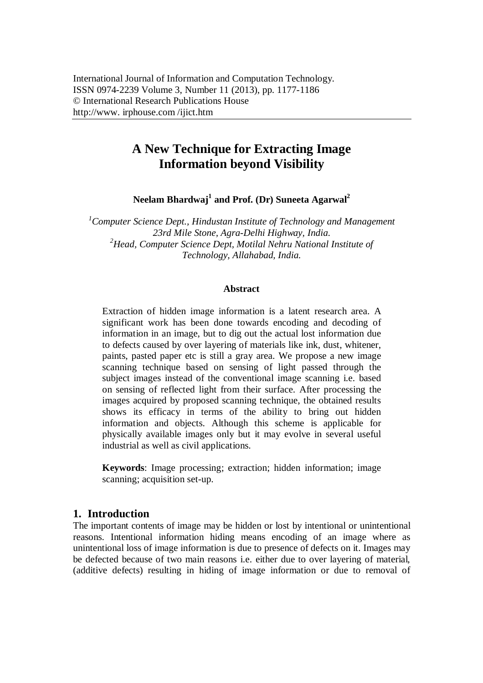# **A New Technique for Extracting Image Information beyond Visibility**

**Neelam Bhardwaj<sup>1</sup> and Prof. (Dr) Suneeta Agarwal<sup>2</sup>**

*<sup>1</sup>Computer Science Dept., Hindustan Institute of Technology and Management 23rd Mile Stone, Agra-Delhi Highway, India. <sup>2</sup>Head, Computer Science Dept, Motilal Nehru National Institute of Technology, Allahabad, India.*

#### **Abstract**

Extraction of hidden image information is a latent research area. A significant work has been done towards encoding and decoding of information in an image, but to dig out the actual lost information due to defects caused by over layering of materials like ink, dust, whitener, paints, pasted paper etc is still a gray area. We propose a new image scanning technique based on sensing of light passed through the subject images instead of the conventional image scanning i.e. based on sensing of reflected light from their surface. After processing the images acquired by proposed scanning technique, the obtained results shows its efficacy in terms of the ability to bring out hidden information and objects. Although this scheme is applicable for physically available images only but it may evolve in several useful industrial as well as civil applications.

**Keywords**: Image processing; extraction; hidden information; image scanning; acquisition set-up.

## **1. Introduction**

The important contents of image may be hidden or lost by intentional or unintentional reasons. Intentional information hiding means encoding of an image where as unintentional loss of image information is due to presence of defects on it. Images may be defected because of two main reasons i.e. either due to over layering of material, (additive defects) resulting in hiding of image information or due to removal of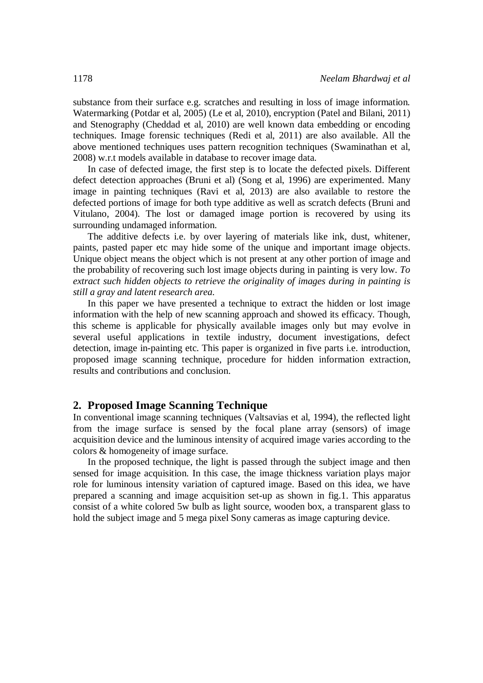substance from their surface e.g. scratches and resulting in loss of image information. Watermarking (Potdar et al, 2005) (Le et al, 2010), encryption (Patel and Bilani, 2011) and Stenography (Cheddad et al, 2010) are well known data embedding or encoding techniques. Image forensic techniques (Redi et al, 2011) are also available. All the above mentioned techniques uses pattern recognition techniques (Swaminathan et al, 2008) w.r.t models available in database to recover image data.

In case of defected image, the first step is to locate the defected pixels. Different defect detection approaches (Bruni et al) (Song et al, 1996) are experimented. Many image in painting techniques (Ravi et al, 2013) are also available to restore the defected portions of image for both type additive as well as scratch defects (Bruni and Vitulano, 2004). The lost or damaged image portion is recovered by using its surrounding undamaged information.

The additive defects i.e. by over layering of materials like ink, dust, whitener, paints, pasted paper etc may hide some of the unique and important image objects. Unique object means the object which is not present at any other portion of image and the probability of recovering such lost image objects during in painting is very low. *To extract such hidden objects to retrieve the originality of images during in painting is still a gray and latent research area.* 

In this paper we have presented a technique to extract the hidden or lost image information with the help of new scanning approach and showed its efficacy. Though, this scheme is applicable for physically available images only but may evolve in several useful applications in textile industry, document investigations, defect detection, image in-painting etc. This paper is organized in five parts i.e. introduction, proposed image scanning technique, procedure for hidden information extraction, results and contributions and conclusion.

## **2. Proposed Image Scanning Technique**

In conventional image scanning techniques (Valtsavias et al, 1994), the reflected light from the image surface is sensed by the focal plane array (sensors) of image acquisition device and the luminous intensity of acquired image varies according to the colors & homogeneity of image surface.

In the proposed technique, the light is passed through the subject image and then sensed for image acquisition. In this case, the image thickness variation plays major role for luminous intensity variation of captured image. Based on this idea, we have prepared a scanning and image acquisition set-up as shown in fig.1. This apparatus consist of a white colored 5w bulb as light source, wooden box, a transparent glass to hold the subject image and 5 mega pixel Sony cameras as image capturing device.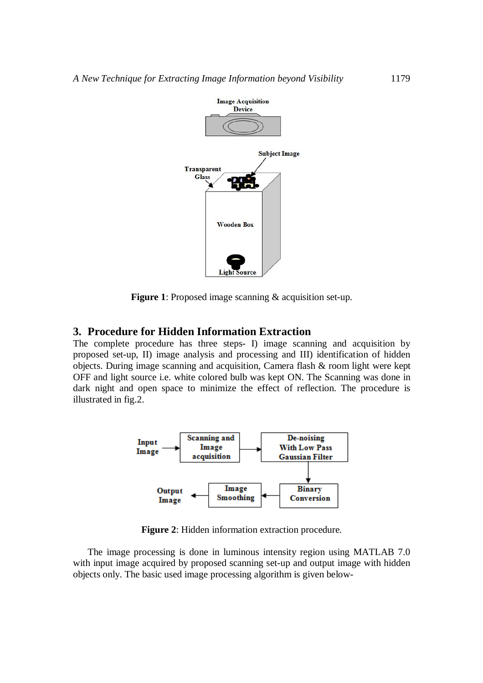

**Figure 1**: Proposed image scanning & acquisition set-up.

## **3. Procedure for Hidden Information Extraction**

The complete procedure has three steps- I) image scanning and acquisition by proposed set-up, II) image analysis and processing and III) identification of hidden objects. During image scanning and acquisition, Camera flash & room light were kept OFF and light source i.e. white colored bulb was kept ON. The Scanning was done in dark night and open space to minimize the effect of reflection. The procedure is illustrated in fig.2.



**Figure 2**: Hidden information extraction procedure.

The image processing is done in luminous intensity region using MATLAB 7.0 with input image acquired by proposed scanning set-up and output image with hidden objects only. The basic used image processing algorithm is given below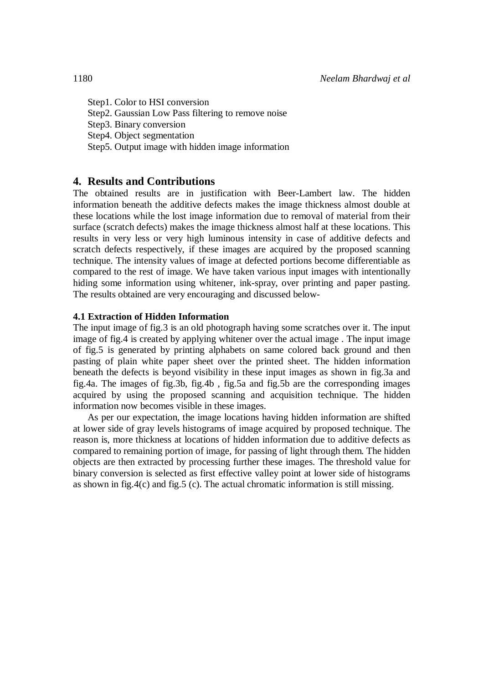Step1. Color to HSI conversion Step2. Gaussian Low Pass filtering to remove noise Step3. Binary conversion Step4. Object segmentation Step5. Output image with hidden image information

## **4. Results and Contributions**

The obtained results are in justification with Beer-Lambert law. The hidden information beneath the additive defects makes the image thickness almost double at these locations while the lost image information due to removal of material from their surface (scratch defects) makes the image thickness almost half at these locations. This results in very less or very high luminous intensity in case of additive defects and scratch defects respectively, if these images are acquired by the proposed scanning technique. The intensity values of image at defected portions become differentiable as compared to the rest of image. We have taken various input images with intentionally hiding some information using whitener, ink-spray, over printing and paper pasting. The results obtained are very encouraging and discussed below-

## **4.1 Extraction of Hidden Information**

The input image of fig.3 is an old photograph having some scratches over it. The input image of fig.4 is created by applying whitener over the actual image . The input image of fig.5 is generated by printing alphabets on same colored back ground and then pasting of plain white paper sheet over the printed sheet. The hidden information beneath the defects is beyond visibility in these input images as shown in fig.3a and fig.4a. The images of fig.3b, fig.4b , fig.5a and fig.5b are the corresponding images acquired by using the proposed scanning and acquisition technique. The hidden information now becomes visible in these images.

As per our expectation, the image locations having hidden information are shifted at lower side of gray levels histograms of image acquired by proposed technique. The reason is, more thickness at locations of hidden information due to additive defects as compared to remaining portion of image, for passing of light through them. The hidden objects are then extracted by processing further these images. The threshold value for binary conversion is selected as first effective valley point at lower side of histograms as shown in fig.4(c) and fig.5 (c). The actual chromatic information is still missing.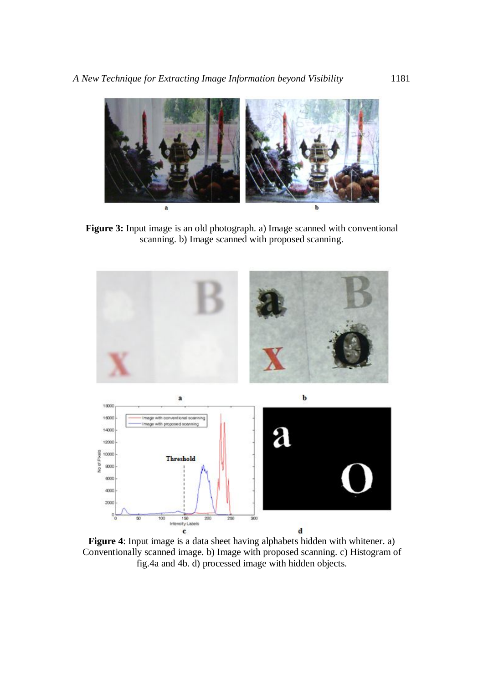

**Figure 3:** Input image is an old photograph. a) Image scanned with conventional scanning. b) Image scanned with proposed scanning.



**Figure 4**: Input image is a data sheet having alphabets hidden with whitener. a) Conventionally scanned image. b) Image with proposed scanning. c) Histogram of fig.4a and 4b. d) processed image with hidden objects.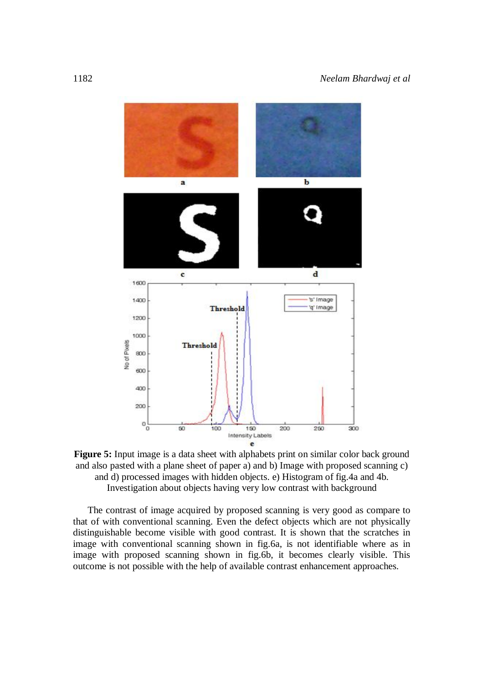

**Figure 5:** Input image is a data sheet with alphabets print on similar color back ground and also pasted with a plane sheet of paper a) and b) Image with proposed scanning c) and d) processed images with hidden objects. e) Histogram of fig.4a and 4b. Investigation about objects having very low contrast with background

The contrast of image acquired by proposed scanning is very good as compare to that of with conventional scanning. Even the defect objects which are not physically distinguishable become visible with good contrast. It is shown that the scratches in image with conventional scanning shown in fig.6a, is not identifiable where as in image with proposed scanning shown in fig.6b, it becomes clearly visible. This outcome is not possible with the help of available contrast enhancement approaches.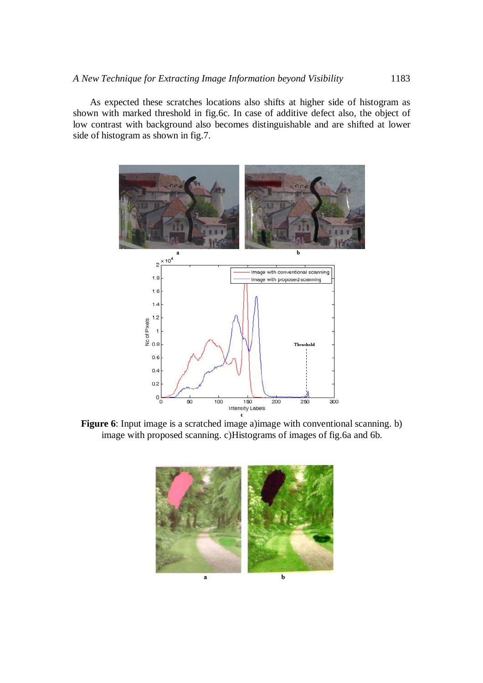As expected these scratches locations also shifts at higher side of histogram as shown with marked threshold in fig.6c. In case of additive defect also, the object of low contrast with background also becomes distinguishable and are shifted at lower side of histogram as shown in fig.7.



**Figure 6**: Input image is a scratched image a)image with conventional scanning. b) image with proposed scanning. c)Histograms of images of fig.6a and 6b.

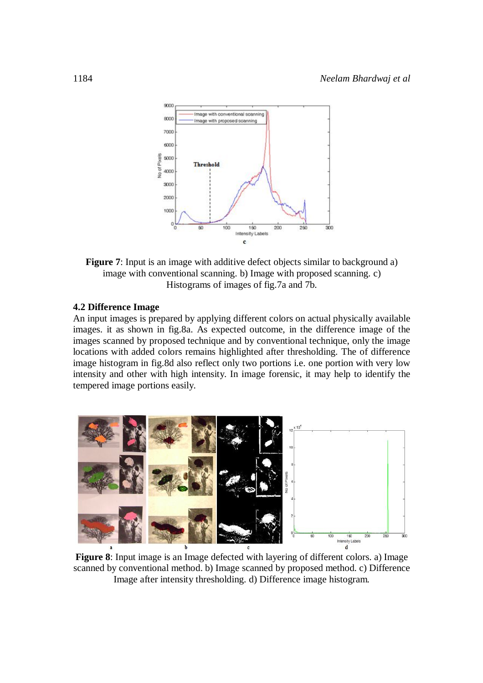

**Figure 7**: Input is an image with additive defect objects similar to background a) image with conventional scanning. b) Image with proposed scanning. c) Histograms of images of fig.7a and 7b.

## **4.2 Difference Image**

An input images is prepared by applying different colors on actual physically available images. it as shown in fig.8a. As expected outcome, in the difference image of the images scanned by proposed technique and by conventional technique, only the image locations with added colors remains highlighted after thresholding. The of difference image histogram in fig.8d also reflect only two portions i.e. one portion with very low intensity and other with high intensity. In image forensic, it may help to identify the tempered image portions easily.



**Figure 8**: Input image is an Image defected with layering of different colors. a) Image scanned by conventional method. b) Image scanned by proposed method. c) Difference Image after intensity thresholding. d) Difference image histogram.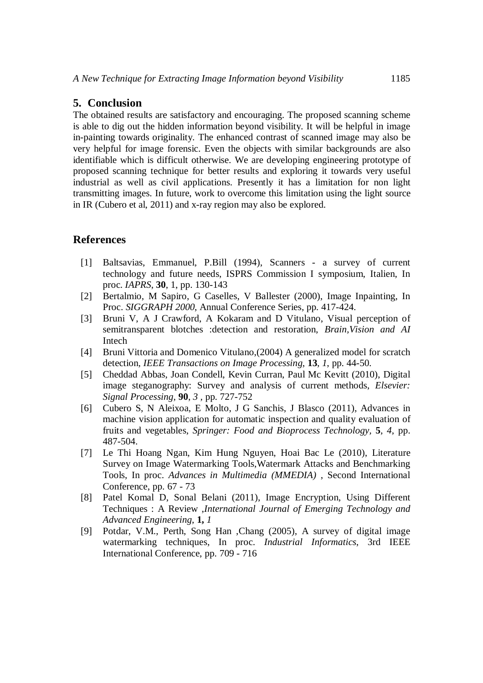## **5. Conclusion**

The obtained results are satisfactory and encouraging. The proposed scanning scheme is able to dig out the hidden information beyond visibility. It will be helpful in image in-painting towards originality. The enhanced contrast of scanned image may also be very helpful for image forensic. Even the objects with similar backgrounds are also identifiable which is difficult otherwise. We are developing engineering prototype of proposed scanning technique for better results and exploring it towards very useful industrial as well as civil applications. Presently it has a limitation for non light transmitting images. In future, work to overcome this limitation using the light source in IR (Cubero et al, 2011) and x-ray region may also be explored.

## **References**

- [1] Baltsavias, Emmanuel, P.Bill (1994), Scanners a survey of current technology and future needs, ISPRS Commission I symposium, Italien, In proc. *IAPRS*, **30**, 1, pp. 130-143
- [2] Bertalmio, M Sapiro, G Caselles, V Ballester (2000), Image Inpainting, In Proc. *SIGGRAPH 2000*, Annual Conference Series, pp. 417-424.
- [3] Bruni V, A J Crawford, A Kokaram and D Vitulano, Visual perception of semitransparent blotches :detection and restoration, *Brain,Vision and AI*  Intech
- [4] Bruni Vittoria and Domenico Vitulano,(2004) A generalized model for scratch detection*, IEEE Transactions on Image Processing*, **13**, *1*, pp. 44-50.
- [5] Cheddad Abbas, Joan Condell, Kevin Curran, Paul Mc Kevitt (2010), Digital image steganography: Survey and analysis of current methods, *Elsevier: Signal Processing*, **90**, *3 ,* pp. 727-752
- [6] Cubero S, N Aleixoa, E Molto, J G Sanchis, J Blasco (2011), Advances in machine vision application for automatic inspection and quality evaluation of fruits and vegetables, *Springer: Food and Bioprocess Technology,* **5**, *4*, pp. 487-504.
- [7] Le Thi Hoang Ngan, Kim Hung Nguyen, Hoai Bac Le (2010), Literature Survey on Image Watermarking Tools,Watermark Attacks and Benchmarking Tools, In proc. *Advances in Multimedia (MMEDIA)* , Second International Conference, pp. 67 - 73
- [8] Patel Komal D, Sonal Belani (2011), Image Encryption, Using Different Techniques : A Review ,*International Journal of Emerging Technology and Advanced Engineering*, **1,** *1*
- [9] Potdar, V.M., Perth, Song Han ,Chang (2005), A survey of digital image watermarking techniques, In proc. *Industrial Informatics*, 3rd IEEE International Conference, pp. 709 - 716